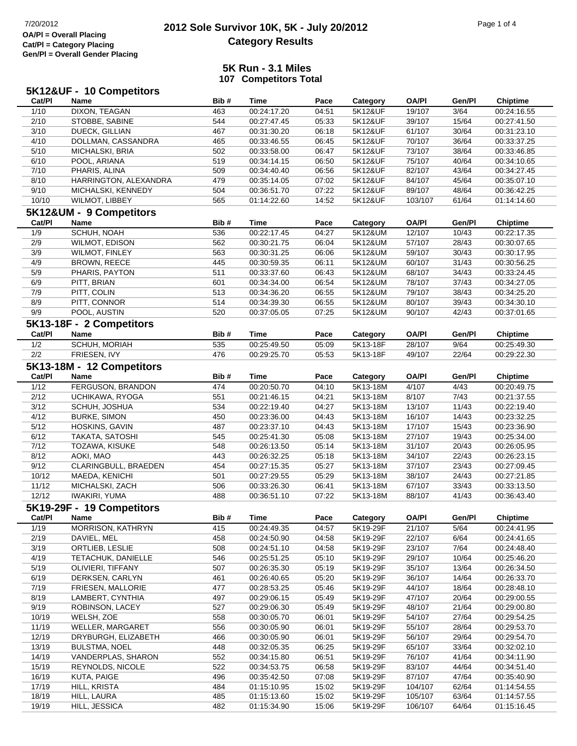### **2012 Sole Survivor 10K, 5K - July 20/2012** 7/20/2012 Page 1 of 4 **Category Results**

#### **5K Run - 3.1 Miles107 Competitors Total**

|                | 5K12&UF - 10 Competitors     |            |                            |                |                      |                    |                |                            |
|----------------|------------------------------|------------|----------------------------|----------------|----------------------|--------------------|----------------|----------------------------|
| Cat/PI         | Name                         | Bib#       | <b>Time</b>                | Pace           | Category             | <b>OA/PI</b>       | Gen/Pl         | <b>Chiptime</b>            |
| 1/10           | <b>DIXON, TEAGAN</b>         | 463        | 00:24:17.20                | 04:51          | 5K12&UF              | 19/107             | 3/64           | 00:24:16.55                |
| 2/10           | STOBBE, SABINE               | 544        | 00:27:47.45                | 05:33          | 5K12&UF              | 39/107             | 15/64          | 00:27:41.50                |
| 3/10           | DUECK, GILLIAN               | 467        | 00:31:30.20                | 06:18          | 5K12&UF              | 61/107             | 30/64          | 00:31:23.10                |
| 4/10           | DOLLMAN, CASSANDRA           | 465        | 00:33:46.55                | 06:45          | 5K12&UF              | 70/107             | 36/64          | 00:33:37.25                |
| 5/10           | MICHALSKI, BRIA              | 502        | 00:33:58.00                | 06:47          | 5K12&UF              | 73/107             | 38/64          | 00:33:46.85                |
| 6/10           | POOL, ARIANA                 | 519        | 00:34:14.15                | 06:50          | 5K12&UF              | 75/107             | 40/64          | 00:34:10.65                |
| 7/10           | PHARIS, ALINA                | 509        | 00:34:40.40                | 06:56          | 5K12&UF              | 82/107             | 43/64          | 00:34:27.45                |
| 8/10           | HARRINGTON, ALEXANDRA        | 479        | 00:35:14.05                | 07:02          | 5K12&UF              | 84/107             | 45/64          | 00:35:07.10                |
| 9/10           | MICHALSKI, KENNEDY           | 504        | 00:36:51.70                | 07:22          | 5K12&UF              | 89/107             | 48/64          | 00:36:42.25                |
| 10/10          | WILMOT, LIBBEY               | 565        | 01:14:22.60                | 14:52          | 5K12&UF              | 103/107            | 61/64          | 01:14:14.60                |
|                | 5K12&UM - 9 Competitors      |            |                            |                |                      |                    |                |                            |
| Cat/PI         | Name                         | Bib#       | <b>Time</b>                | Pace           | Category             | <b>OA/PI</b>       | Gen/Pl         | <b>Chiptime</b>            |
| 1/9            | SCHUH, NOAH                  | 536        | 00:22:17.45                | 04:27          | 5K12&UM              | 12/107             | 10/43          | 00:22:17.35                |
| 2/9            | WILMOT, EDISON               | 562        | 00:30:21.75                | 06:04          | 5K12&UM              | 57/107             | 28/43          | 00:30:07.65                |
| 3/9            | <b>WILMOT, FINLEY</b>        | 563        | 00:30:31.25                | 06:06          | 5K12&UM              | 59/107             | 30/43          | 00:30:17.95                |
| 4/9            | <b>BROWN, REECE</b>          | 445        | 00:30:59.35                | 06:11          | 5K12&UM              | 60/107             | 31/43          | 00:30:56.25                |
| 5/9            | PHARIS, PAYTON               | 511        | 00:33:37.60                | 06:43          | 5K12&UM              | 68/107             | 34/43          | 00:33:24.45                |
| 6/9            | PITT, BRIAN                  | 601        | 00:34:34.00                | 06:54          | 5K12&UM              | 78/107             | 37/43          | 00:34:27.05                |
| 7/9            | PITT, COLIN                  | 513        | 00:34:36.20                | 06:55          | 5K12&UM              | 79/107             | 38/43          | 00:34:25.20                |
| 8/9            | PITT, CONNOR                 | 514        | 00:34:39.30                | 06:55          | 5K12&UM              | 80/107             | 39/43          | 00:34:30.10                |
| 9/9            | POOL, AUSTIN                 | 520        | 00:37:05.05                | 07:25          | 5K12&UM              | 90/107             | 42/43          | 00:37:01.65                |
|                | 5K13-18F - 2 Competitors     |            |                            |                |                      |                    |                |                            |
|                |                              |            |                            |                |                      |                    |                |                            |
| Cat/PI         | Name                         | Bib#       | <b>Time</b>                | Pace           | Category             | <b>OA/PI</b>       | Gen/Pl         | <b>Chiptime</b>            |
| 1/2            | SCHUH, MORIAH                | 535        | 00:25:49.50                | 05:09          | 5K13-18F             | 28/107             | 9/64           | 00:25:49.30                |
| $2/2$          | FRIESEN, IVY                 | 476        | 00:29:25.70                | 05:53          | 5K13-18F             | 49/107             | 22/64          | 00:29:22.30                |
|                | 5K13-18M - 12 Competitors    |            |                            |                |                      |                    |                |                            |
| Cat/PI         | Name                         | Bib#       | <b>Time</b>                | Pace           | Category             | <b>OA/PI</b>       | Gen/Pl         | <b>Chiptime</b>            |
| 1/12           | FERGUSON, BRANDON            | 474        | 00:20:50.70                | 04:10          | 5K13-18M             | 4/107              | 4/43           | 00:20:49.75                |
| 2/12           | UCHIKAWA, RYOGA              | 551        | 00:21:46.15                | 04:21          | 5K13-18M             | 8/107              | 7/43           | 00:21:37.55                |
| 3/12           | SCHUH, JOSHUA                | 534        | 00:22:19.40                | 04:27          | 5K13-18M             | 13/107             | 11/43          | 00:22:19.40                |
| 4/12           | <b>BURKE, SIMON</b>          | 450        | 00:23:36.00                | 04:43          | 5K13-18M             | 16/107             | 14/43          | 00:23:32.25                |
| 5/12           | HOSKINS, GAVIN               | 487        | 00:23:37.10                | 04:43          | 5K13-18M             | 17/107             | 15/43          | 00:23:36.90                |
| 6/12           | TAKATA, SATOSHI              | 545        | 00:25:41.30                | 05:08          | 5K13-18M             | 27/107             | 19/43          | 00:25:34.00                |
| 7/12           | TOZAWA, KISUKE               | 548        | 00:26:13.50                | 05:14          | 5K13-18M             | 31/107             | 20/43          | 00:26:05.95                |
| 8/12           | AOKI, MAO                    | 443        | 00:26:32.25                | 05:18          | 5K13-18M             | 34/107             | 22/43          | 00:26:23.15                |
| 9/12           | CLARINGBULL, BRAEDEN         | 454        | 00:27:15.35                | 05:27          | 5K13-18M             | 37/107             | 23/43          | 00:27:09.45                |
| 10/12          | MAEDA, KENICHI               | 501        | 00:27:29.55                | 05:29          | 5K13-18M             | 38/107             | 24/43          | 00:27:21.85                |
| 11/12          | MICHALSKI, ZACH              | 506        | 00:33:26.30                | 06:41          | 5K13-18M             | 67/107             | 33/43          | 00:33:13.50                |
| 12/12          | <b>IWAKIRI, YUMA</b>         | 488        | 00:36:51.10                | 07:22          | 5K13-18M             | 88/107             | 41/43          | 00:36:43.40                |
|                | 5K19-29F - 19 Competitors    |            |                            |                |                      |                    |                |                            |
| Cat/PI         | Name                         | Bib#       | <b>Time</b>                | Pace           | Category             | <b>OA/PI</b>       | Gen/Pl         | <b>Chiptime</b>            |
| 1/19           | MORRISON, KATHRYN            | 415        | 00:24:49.35                | 04:57          | 5K19-29F             | 21/107             | 5/64           | 00:24:41.95                |
| 2/19           | DAVIEL, MEL                  | 458        | 00:24:50.90                | 04:58          | 5K19-29F             | 22/107             | 6/64           | 00:24:41.65                |
| 3/19           | ORTLIEB, LESLIE              | 508        | 00:24:51.10                | 04:58          | 5K19-29F             | 23/107             | 7/64           | 00:24:48.40                |
| 4/19           | TETACHUK, DANIELLE           | 546        | 00:25:51.25                | 05:10          | 5K19-29F             | 29/107             | 10/64          | 00:25:46.20                |
| 5/19           | OLIVIERI, TIFFANY            | 507        | 00:26:35.30                | 05:19          | 5K19-29F             | 35/107             | 13/64          | 00:26:34.50                |
| 6/19           | DERKSEN, CARLYN              | 461        | 00:26:40.65                | 05:20          | 5K19-29F             | 36/107             | 14/64          | 00:26:33.70                |
| 7/19           | FRIESEN, MALLORIE            | 477        | 00:28:53.25                | 05:46          | 5K19-29F             | 44/107             | 18/64          | 00:28:48.10                |
| 8/19           | LAMBERT, CYNTHIA             | 497        | 00:29:06.15                | 05:49          | 5K19-29F             | 47/107             | 20/64          | 00:29:00.55                |
| 9/19           | ROBINSON, LACEY              | 527        | 00:29:06.30                | 05:49          | 5K19-29F             | 48/107             | 21/64          | 00:29:00.80                |
| 10/19          | WELSH, ZOE                   | 558        | 00:30:05.70                | 06:01          | 5K19-29F             | 54/107             | 27/64          | 00:29:54.25                |
| 11/19          | WELLER, MARGARET             | 556        | 00:30:05.90                | 06:01          | 5K19-29F             | 55/107             | 28/64          | 00:29:53.70                |
| 12/19          | DRYBURGH, ELIZABETH          | 466        | 00:30:05.90                | 06:01          | 5K19-29F             | 56/107             | 29/64          | 00:29:54.70                |
| 13/19          | <b>BULSTMA, NOEL</b>         | 448        | 00:32:05.35                | 06:25          | 5K19-29F             | 65/107             | 33/64          | 00:32:02.10                |
| 14/19          | VANDERPLAS, SHARON           | 552        | 00:34:15.80                | 06:51          | 5K19-29F             | 76/107             | 41/64          | 00:34:11.90                |
| 15/19          |                              |            |                            |                |                      |                    |                |                            |
| 16/19          | REYNOLDS, NICOLE             | 522<br>496 | 00:34:53.75                | 06:58          | 5K19-29F             | 83/107             | 44/64          | 00:34:51.40                |
|                | KUTA, PAIGE                  | 484        | 00:35:42.50                | 07:08          | 5K19-29F             | 87/107             | 47/64          | 00:35:40.90                |
| 17/19          | HILL, KRISTA                 |            | 01:15:10.95                | 15:02          | 5K19-29F             | 104/107            | 62/64          | 01:14:54.55                |
| 18/19<br>19/19 | HILL, LAURA<br>HILL, JESSICA | 485<br>482 | 01:15:13.60<br>01:15:34.90 | 15:02<br>15:06 | 5K19-29F<br>5K19-29F | 105/107<br>106/107 | 63/64<br>64/64 | 01:14:57.55<br>01:15:16.45 |
|                |                              |            |                            |                |                      |                    |                |                            |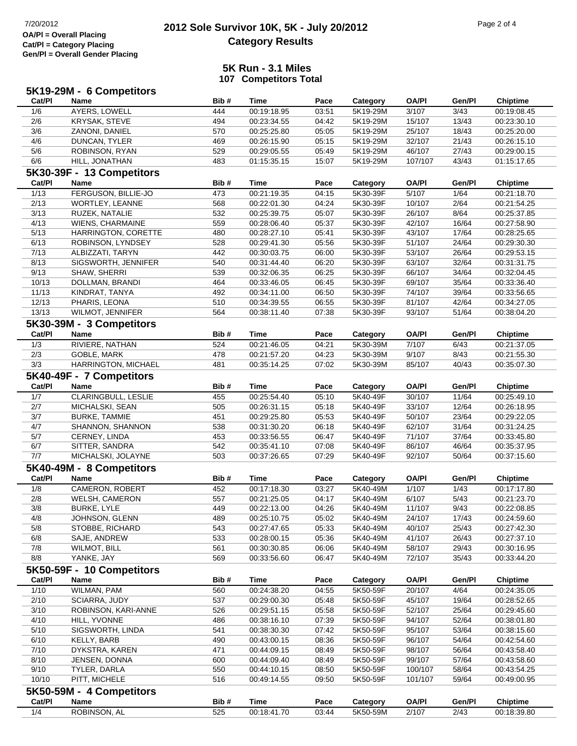## **2012 Sole Survivor 10K, 5K - July 20/2012** 7/20/2012 Page 2 of 4 **Category Results**

#### **5K Run - 3.1 Miles107 Competitors Total**

|        | 5K19-29M - 6 Competitors  |      |             |       |          |              |        |                 |
|--------|---------------------------|------|-------------|-------|----------|--------------|--------|-----------------|
| Cat/PI | Name                      | Bib# | <b>Time</b> | Pace  | Category | <b>OA/PI</b> | Gen/Pl | <b>Chiptime</b> |
| 1/6    | AYERS, LOWELL             | 444  | 00:19:18.95 | 03:51 | 5K19-29M | 3/107        | 3/43   | 00:19:08.45     |
| 2/6    | <b>KRYSAK, STEVE</b>      | 494  | 00:23:34.55 | 04:42 | 5K19-29M | 15/107       | 13/43  | 00:23:30.10     |
| 3/6    | ZANONI, DANIEL            | 570  | 00:25:25.80 | 05:05 | 5K19-29M | 25/107       | 18/43  | 00:25:20.00     |
| 4/6    | DUNCAN, TYLER             | 469  | 00:26:15.90 | 05:15 | 5K19-29M | 32/107       | 21/43  | 00:26:15.10     |
| 5/6    | ROBINSON, RYAN            | 529  | 00:29:05.55 | 05:49 | 5K19-29M | 46/107       | 27/43  | 00:29:00.15     |
| 6/6    | HILL, JONATHAN            | 483  | 01:15:35.15 | 15:07 | 5K19-29M | 107/107      | 43/43  | 01:15:17.65     |
|        | 5K30-39F - 13 Competitors |      |             |       |          |              |        |                 |
| Cat/PI | Name                      | Bib# | <b>Time</b> | Pace  | Category | <b>OA/PI</b> | Gen/Pl | <b>Chiptime</b> |
| 1/13   | FERGUSON, BILLIE-JO       | 473  | 00:21:19.35 | 04:15 | 5K30-39F | 5/107        | 1/64   | 00:21:18.70     |
| 2/13   | WORTLEY, LEANNE           | 568  | 00:22:01.30 | 04:24 | 5K30-39F | 10/107       | 2/64   | 00:21:54.25     |
| 3/13   | RUZEK, NATALIE            | 532  | 00:25:39.75 | 05:07 | 5K30-39F | 26/107       | 8/64   | 00:25:37.85     |
| 4/13   | WIENS, CHARMAINE          | 559  | 00:28:06.40 | 05:37 | 5K30-39F | 42/107       | 16/64  | 00:27:58.90     |
| 5/13   | HARRINGTON, CORETTE       | 480  | 00:28:27.10 | 05:41 | 5K30-39F | 43/107       | 17/64  | 00:28:25.65     |
| 6/13   | ROBINSON, LYNDSEY         | 528  | 00:29:41.30 | 05:56 | 5K30-39F | 51/107       | 24/64  | 00:29:30.30     |
| 7/13   | ALBIZZATI, TARYN          | 442  | 00:30:03.75 | 06:00 | 5K30-39F | 53/107       | 26/64  | 00:29:53.15     |
| 8/13   | SIGSWORTH, JENNIFER       | 540  | 00:31:44.40 | 06:20 | 5K30-39F | 63/107       | 32/64  | 00:31:31.75     |
| 9/13   | SHAW, SHERRI              | 539  | 00:32:06.35 | 06:25 | 5K30-39F | 66/107       | 34/64  | 00:32:04.45     |
| 10/13  | DOLLMAN, BRANDI           | 464  | 00:33:46.05 | 06:45 | 5K30-39F | 69/107       | 35/64  | 00:33:36.40     |
| 11/13  | KINDRAT, TANYA            | 492  | 00:34:11.00 | 06:50 | 5K30-39F | 74/107       | 39/64  | 00:33:56.65     |
| 12/13  | PHARIS, LEONA             | 510  | 00:34:39.55 | 06:55 | 5K30-39F | 81/107       | 42/64  | 00:34:27.05     |
| 13/13  | WILMOT, JENNIFER          | 564  | 00:38:11.40 | 07:38 | 5K30-39F | 93/107       | 51/64  | 00:38:04.20     |
|        | 5K30-39M - 3 Competitors  |      |             |       |          |              |        |                 |
| Cat/PI | Name                      | Bib# | <b>Time</b> | Pace  | Category | <b>OA/PI</b> | Gen/Pl | <b>Chiptime</b> |
| 1/3    | RIVIERE, NATHAN           | 524  | 00:21:46.05 | 04:21 | 5K30-39M | 7/107        | 6/43   | 00:21:37.05     |
| 2/3    | GOBLE, MARK               | 478  | 00:21:57.20 | 04:23 | 5K30-39M | 9/107        | 8/43   | 00:21:55.30     |
| 3/3    | HARRINGTON, MICHAEL       | 481  | 00:35:14.25 | 07:02 | 5K30-39M | 85/107       | 40/43  | 00:35:07.30     |
|        | 5K40-49F - 7 Competitors  |      |             |       |          |              |        |                 |
| Cat/PI | Name                      | Bib# | <b>Time</b> | Pace  | Category | <b>OA/PI</b> | Gen/Pl | <b>Chiptime</b> |
| 1/7    | CLARINGBULL, LESLIE       | 455  | 00:25:54.40 | 05:10 | 5K40-49F | 30/107       | 11/64  | 00:25:49.10     |
| 2/7    | MICHALSKI, SEAN           | 505  | 00:26:31.15 | 05:18 | 5K40-49F | 33/107       | 12/64  | 00:26:18.95     |
| $3/7$  | <b>BURKE, TAMMIE</b>      | 451  | 00:29:25.80 | 05:53 | 5K40-49F | 50/107       | 23/64  | 00:29:22.05     |
| 4/7    | SHANNON, SHANNON          | 538  | 00:31:30.20 | 06:18 | 5K40-49F | 62/107       | 31/64  | 00:31:24.25     |
| 5/7    | CERNEY, LINDA             | 453  | 00:33:56.55 | 06:47 | 5K40-49F | 71/107       | 37/64  | 00:33:45.80     |
| 6/7    | SITTER, SANDRA            | 542  | 00:35:41.10 | 07:08 | 5K40-49F | 86/107       | 46/64  | 00:35:37.95     |
| 7/7    | MICHALSKI, JOLAYNE        | 503  | 00:37:26.65 | 07:29 | 5K40-49F | 92/107       | 50/64  | 00:37:15.60     |
|        | 5K40-49M - 8 Competitors  |      |             |       |          |              |        |                 |
| Cat/PI | Name                      | Bib# | <b>Time</b> | Pace  | Category | <b>OA/PI</b> | Gen/Pl | <b>Chiptime</b> |
| 1/8    | CAMERON, ROBERT           | 452  | 00:17:18.30 | 03:27 | 5K40-49M | 1/107        | 1/43   | 00:17:17.80     |
| 2/8    | <b>WELSH, CAMERON</b>     | 557  | 00:21:25.05 | 04:17 | 5K40-49M | 6/107        | 5/43   | 00:21:23.70     |
| 3/8    | <b>BURKE, LYLE</b>        | 449  | 00:22:13.00 | 04:26 | 5K40-49M | 11/107       | 9/43   | 00:22:08.85     |
| 4/8    | JOHNSON, GLENN            | 489  | 00:25:10.75 | 05:02 | 5K40-49M | 24/107       | 17/43  | 00:24:59.60     |
| 5/8    | STOBBE, RICHARD           | 543  | 00:27:47.65 | 05:33 | 5K40-49M | 40/107       | 25/43  | 00:27:42.30     |
| 6/8    | SAJE, ANDREW              | 533  | 00:28:00.15 | 05:36 | 5K40-49M | 41/107       | 26/43  | 00:27:37.10     |
| 7/8    | WILMOT, BILL              | 561  | 00:30:30.85 | 06:06 | 5K40-49M | 58/107       | 29/43  | 00:30:16.95     |
| 8/8    | YANKE, JAY                | 569  | 00:33:56.60 | 06:47 | 5K40-49M | 72/107       | 35/43  | 00:33:44.20     |
|        | 5K50-59F - 10 Competitors |      |             |       |          |              |        |                 |
| Cat/PI | <b>Name</b>               | Bib# | <b>Time</b> | Pace  | Category | <b>OA/PI</b> | Gen/Pl | <b>Chiptime</b> |
| 1/10   | WILMAN, PAM               | 560  | 00:24:38.20 | 04:55 | 5K50-59F | 20/107       | 4/64   | 00:24:35.05     |
| 2/10   | SCIARRA, JUDY             | 537  | 00:29:00.30 | 05:48 | 5K50-59F | 45/107       | 19/64  | 00:28:52.65     |
| 3/10   | ROBINSON, KARI-ANNE       | 526  | 00:29:51.15 | 05:58 | 5K50-59F | 52/107       | 25/64  | 00:29:45.60     |
| 4/10   | HILL, YVONNE              | 486  | 00:38:16.10 | 07:39 | 5K50-59F | 94/107       | 52/64  | 00:38:01.80     |
| 5/10   | SIGSWORTH, LINDA          | 541  | 00:38:30.30 | 07:42 | 5K50-59F | 95/107       | 53/64  | 00:38:15.60     |
| 6/10   | KELLY, BARB               | 490  | 00:43:00.15 | 08:36 | 5K50-59F | 96/107       | 54/64  | 00:42:54.60     |
| 7/10   | DYKSTRA, KAREN            | 471  | 00:44:09.15 | 08:49 | 5K50-59F | 98/107       | 56/64  | 00:43:58.40     |
| 8/10   | JENSEN, DONNA             | 600  | 00:44:09.40 | 08:49 | 5K50-59F | 99/107       | 57/64  | 00:43:58.60     |
| 9/10   | TYLER, DARLA              | 550  | 00:44:10.15 | 08:50 | 5K50-59F | 100/107      | 58/64  | 00:43:54.25     |
| 10/10  | PITT, MICHELE             | 516  | 00:49:14.55 | 09:50 | 5K50-59F | 101/107      | 59/64  | 00:49:00.95     |
|        | 5K50-59M - 4 Competitors  |      |             |       |          |              |        |                 |
| Cat/PI | Name                      | Bib# | <b>Time</b> | Pace  | Category | <b>OA/PI</b> | Gen/Pl | <b>Chiptime</b> |
| 1/4    | ROBINSON, AL              | 525  | 00:18:41.70 | 03:44 | 5K50-59M | 2/107        | 2/43   | 00:18:39.80     |